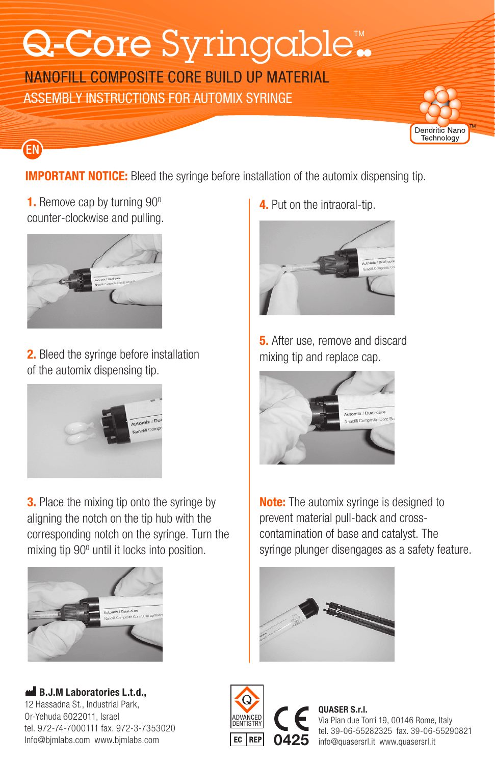# Q-Core Syringable.

NANOFILL COMPOSITE CORE BUILD UP MATERIAL ASSEMBLY INSTRUCTIONS FOR AUTOMIX SYRINGE



**IMPORTANT NOTICE:** Bleed the syringe before installation of the automix dispensing tip.

**1.** Remove cap by turning 90<sup>°</sup> counter-clockwise and pulling.

EN



**2.** Bleed the syringe before installation of the automix dispensing tip.



**3.** Place the mixing tip onto the syringe by aligning the notch on the tip hub with the corresponding notch on the syringe. Turn the mixing tip 90° until it locks into position.



B.J.M Laboratories L.t.d., 12 Hassadna St., Industrial Park, Or-Yehuda 6022011, Israel tel. 972-74-7000111 fax. 972-3-7353020 Info@bjmlabs.com www.bjmlabs.com

**4.** Put on the intraoral-tip.



**5.** After use, remove and discard mixing tip and replace cap.



**Note:** The automix syringe is designed to prevent material pull-back and crosscontamination of base and catalyst. The syringe plunger disengages as a safety feature.





0425 info@quasersrl.it www.quasersrl.it QUASER S.r.l. Via Pian due Torri 19, 00146 Rome, Italy tel. 39-06-55282325 fax. 39-06-55290821